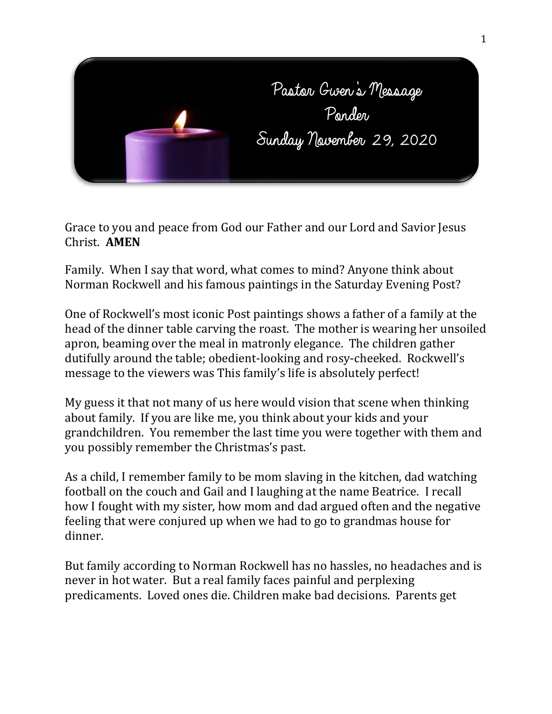

Grace to you and peace from God our Father and our Lord and Savior Jesus Christ. **AMEN**

Family. When I say that word, what comes to mind? Anyone think about Norman Rockwell and his famous paintings in the Saturday Evening Post?

One of Rockwell's most iconic Post paintings shows a father of a family at the head of the dinner table carving the roast. The mother is wearing her unsoiled apron, beaming over the meal in matronly elegance. The children gather dutifully around the table; obedient-looking and rosy-cheeked. Rockwell's message to the viewers was This family's life is absolutely perfect!

My guess it that not many of us here would vision that scene when thinking about family. If you are like me, you think about your kids and your grandchildren. You remember the last time you were together with them and you possibly remember the Christmas's past.

As a child, I remember family to be mom slaving in the kitchen, dad watching football on the couch and Gail and I laughing at the name Beatrice. I recall how I fought with my sister, how mom and dad argued often and the negative feeling that were conjured up when we had to go to grandmas house for dinner.

But family according to Norman Rockwell has no hassles, no headaches and is never in hot water. But a real family faces painful and perplexing predicaments. Loved ones die. Children make bad decisions. Parents get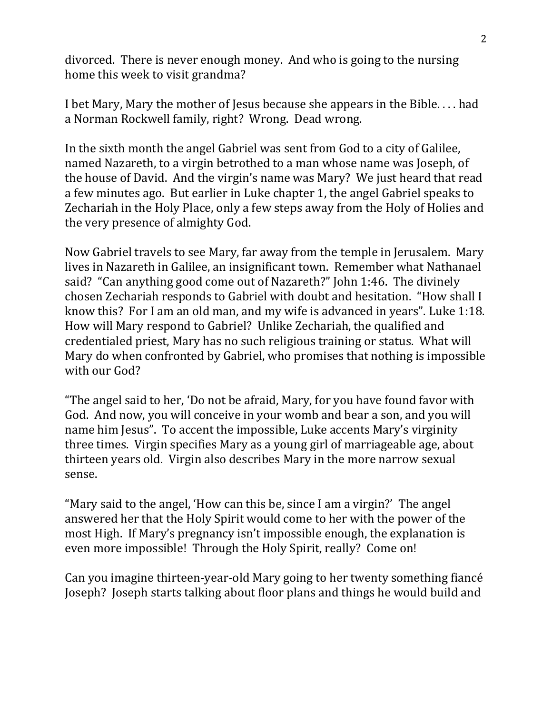divorced. There is never enough money. And who is going to the nursing home this week to visit grandma?

I bet Mary, Mary the mother of Jesus because she appears in the Bible. . . . had a Norman Rockwell family, right? Wrong. Dead wrong.

In the sixth month the angel Gabriel was sent from God to a city of Galilee, named Nazareth, to a virgin betrothed to a man whose name was Joseph, of the house of David. And the virgin's name was Mary? We just heard that read a few minutes ago. But earlier in Luke chapter 1, the angel Gabriel speaks to Zechariah in the Holy Place, only a few steps away from the Holy of Holies and the very presence of almighty God.

Now Gabriel travels to see Mary, far away from the temple in Jerusalem. Mary lives in Nazareth in Galilee, an insignificant town. Remember what Nathanael said? "Can anything good come out of Nazareth?" John 1:46. The divinely chosen Zechariah responds to Gabriel with doubt and hesitation. "How shall I know this? For I am an old man, and my wife is advanced in years". Luke 1:18. How will Mary respond to Gabriel? Unlike Zechariah, the qualified and credentialed priest, Mary has no such religious training or status. What will Mary do when confronted by Gabriel, who promises that nothing is impossible with our God?

"The angel said to her, 'Do not be afraid, Mary, for you have found favor with God. And now, you will conceive in your womb and bear a son, and you will name him Jesus". To accent the impossible, Luke accents Mary's virginity three times. Virgin specifies Mary as a young girl of marriageable age, about thirteen years old. Virgin also describes Mary in the more narrow sexual sense.

"Mary said to the angel, 'How can this be, since I am a virgin?' The angel answered her that the Holy Spirit would come to her with the power of the most High. If Mary's pregnancy isn't impossible enough, the explanation is even more impossible! Through the Holy Spirit, really? Come on!

Can you imagine thirteen-year-old Mary going to her twenty something fiancé Joseph? Joseph starts talking about floor plans and things he would build and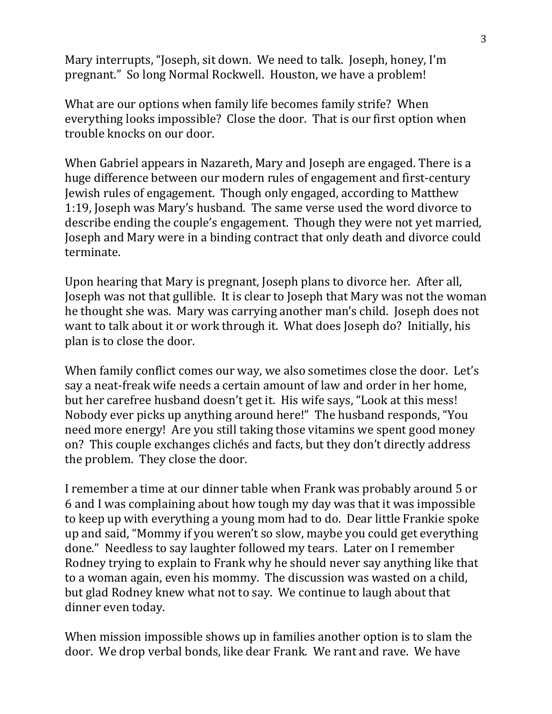Mary interrupts, "Joseph, sit down. We need to talk. Joseph, honey, I'm pregnant." So long Normal Rockwell. Houston, we have a problem!

What are our options when family life becomes family strife? When everything looks impossible? Close the door. That is our first option when trouble knocks on our door.

When Gabriel appears in Nazareth, Mary and Joseph are engaged. There is a huge difference between our modern rules of engagement and first-century Jewish rules of engagement. Though only engaged, according to Matthew 1:19, Joseph was Mary's husband. The same verse used the word divorce to describe ending the couple's engagement. Though they were not yet married, Joseph and Mary were in a binding contract that only death and divorce could terminate.

Upon hearing that Mary is pregnant, Joseph plans to divorce her. After all, Joseph was not that gullible. It is clear to Joseph that Mary was not the woman he thought she was. Mary was carrying another man's child. Joseph does not want to talk about it or work through it. What does Joseph do? Initially, his plan is to close the door.

When family conflict comes our way, we also sometimes close the door. Let's say a neat-freak wife needs a certain amount of law and order in her home, but her carefree husband doesn't get it. His wife says, "Look at this mess! Nobody ever picks up anything around here!" The husband responds, "You need more energy! Are you still taking those vitamins we spent good money on? This couple exchanges clichés and facts, but they don't directly address the problem. They close the door.

I remember a time at our dinner table when Frank was probably around 5 or 6 and I was complaining about how tough my day was that it was impossible to keep up with everything a young mom had to do. Dear little Frankie spoke up and said, "Mommy if you weren't so slow, maybe you could get everything done." Needless to say laughter followed my tears. Later on I remember Rodney trying to explain to Frank why he should never say anything like that to a woman again, even his mommy. The discussion was wasted on a child, but glad Rodney knew what not to say. We continue to laugh about that dinner even today.

When mission impossible shows up in families another option is to slam the door. We drop verbal bonds, like dear Frank. We rant and rave. We have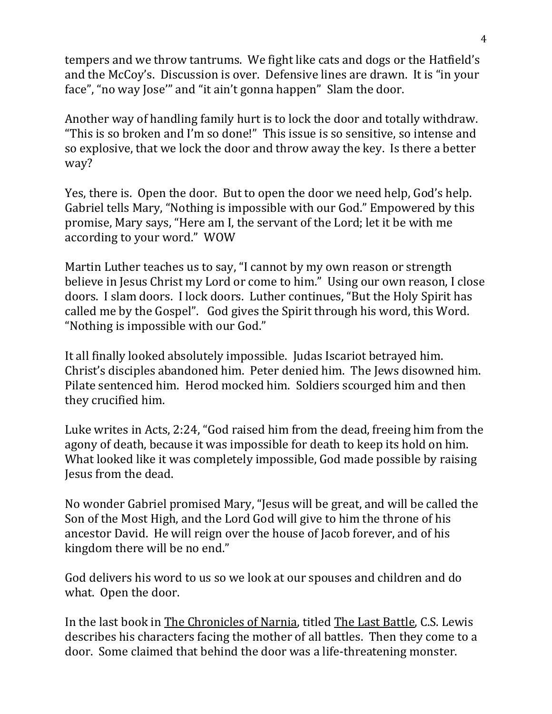tempers and we throw tantrums. We fight like cats and dogs or the Hatfield's and the McCoy's. Discussion is over. Defensive lines are drawn. It is "in your face", "no way Jose'" and "it ain't gonna happen" Slam the door.

Another way of handling family hurt is to lock the door and totally withdraw. "This is so broken and I'm so done!" This issue is so sensitive, so intense and so explosive, that we lock the door and throw away the key. Is there a better way?

Yes, there is. Open the door. But to open the door we need help, God's help. Gabriel tells Mary, "Nothing is impossible with our God." Empowered by this promise, Mary says, "Here am I, the servant of the Lord; let it be with me according to your word." WOW

Martin Luther teaches us to say, "I cannot by my own reason or strength believe in Jesus Christ my Lord or come to him." Using our own reason, I close doors. I slam doors. I lock doors. Luther continues, "But the Holy Spirit has called me by the Gospel". God gives the Spirit through his word, this Word. "Nothing is impossible with our God."

It all finally looked absolutely impossible. Judas Iscariot betrayed him. Christ's disciples abandoned him. Peter denied him. The Jews disowned him. Pilate sentenced him. Herod mocked him. Soldiers scourged him and then they crucified him.

Luke writes in Acts, 2:24, "God raised him from the dead, freeing him from the agony of death, because it was impossible for death to keep its hold on him. What looked like it was completely impossible, God made possible by raising Jesus from the dead.

No wonder Gabriel promised Mary, "Jesus will be great, and will be called the Son of the Most High, and the Lord God will give to him the throne of his ancestor David. He will reign over the house of Jacob forever, and of his kingdom there will be no end."

God delivers his word to us so we look at our spouses and children and do what. Open the door.

In the last book in The Chronicles of Narnia, titled The Last Battle, C.S. Lewis describes his characters facing the mother of all battles. Then they come to a door. Some claimed that behind the door was a life-threatening monster.